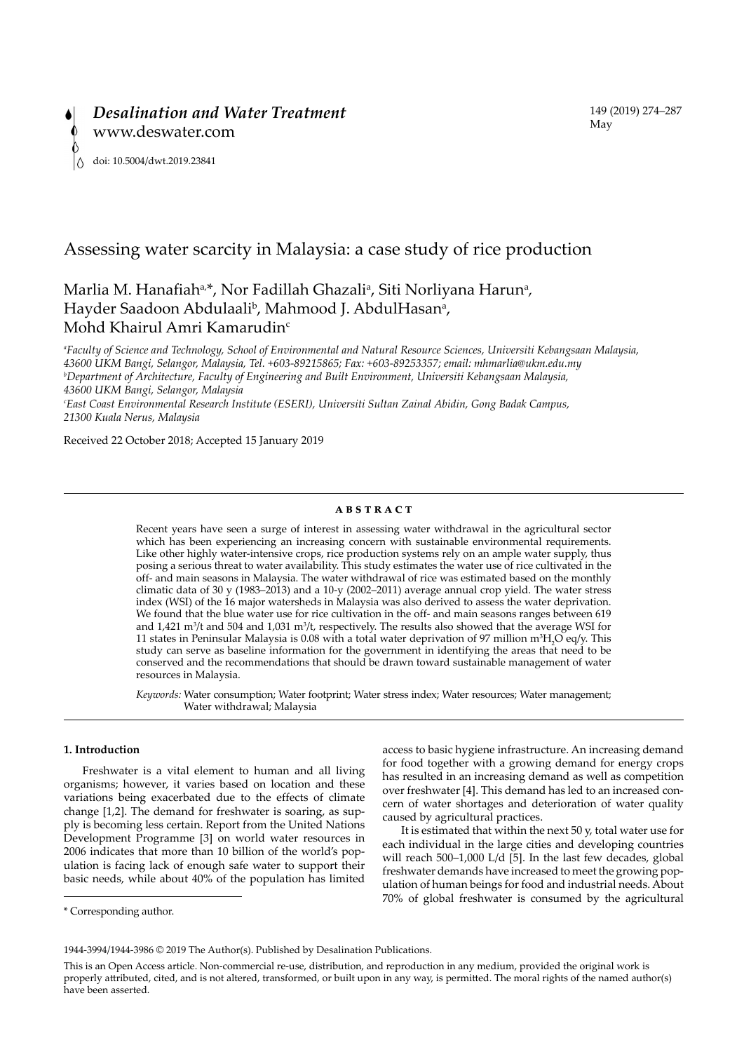

# Assessing water scarcity in Malaysia: a case study of rice production

# Marlia M. Hanafiah<sup>a,\*</sup>, Nor Fadillah Ghazali<sup>a</sup>, Siti Norliyana Harun<sup>a</sup>, Hayder Saadoon Abdulaali<sup>b</sup>, Mahmood J. AbdulHasan<sup>a</sup>, Mohd Khairul Amri Kamarudin<sup>c</sup>

*a Faculty of Science and Technology, School of Environmental and Natural Resource Sciences, Universiti Kebangsaan Malaysia, 43600 UKM Bangi, Selangor, Malaysia, Tel. +603-89215865; Fax: +603-89253357; email: mhmarlia@ukm.edu.my b Department of Architecture, Faculty of Engineering and Built Environment, Universiti Kebangsaan Malaysia, 43600 UKM Bangi, Selangor, Malaysia c East Coast Environmental Research Institute (ESERI), Universiti Sultan Zainal Abidin, Gong Badak Campus,* 

*21300 Kuala Nerus, Malaysia*

Received 22 October 2018; Accepted 15 January 2019

# **ABSTRACT**

Recent years have seen a surge of interest in assessing water withdrawal in the agricultural sector which has been experiencing an increasing concern with sustainable environmental requirements. Like other highly water-intensive crops, rice production systems rely on an ample water supply, thus posing a serious threat to water availability. This study estimates the water use of rice cultivated in the off- and main seasons in Malaysia. The water withdrawal of rice was estimated based on the monthly climatic data of 30 y (1983–2013) and a 10-y (2002–2011) average annual crop yield. The water stress index (WSI) of the 16 major watersheds in Malaysia was also derived to assess the water deprivation. We found that the blue water use for rice cultivation in the off- and main seasons ranges between 619 and  $1,421$  m<sup>3</sup>/t and 504 and  $1,031$  m<sup>3</sup>/t, respectively. The results also showed that the average WSI for 11 states in Peninsular Malaysia is 0.08 with a total water deprivation of 97 million  $m^3H_2O$  eq/y. This study can serve as baseline information for the government in identifying the areas that need to be conserved and the recommendations that should be drawn toward sustainable management of water resources in Malaysia.

*Keywords:* Water consumption; Water footprint; Water stress index; Water resources; Water management; Water withdrawal; Malaysia

## **1. Introduction**

Freshwater is a vital element to human and all living organisms; however, it varies based on location and these variations being exacerbated due to the effects of climate change [1,2]. The demand for freshwater is soaring, as supply is becoming less certain. Report from the United Nations Development Programme [3] on world water resources in 2006 indicates that more than 10 billion of the world's population is facing lack of enough safe water to support their basic needs, while about 40% of the population has limited

access to basic hygiene infrastructure. An increasing demand for food together with a growing demand for energy crops has resulted in an increasing demand as well as competition over freshwater [4]. This demand has led to an increased concern of water shortages and deterioration of water quality caused by agricultural practices.

It is estimated that within the next 50 y, total water use for each individual in the large cities and developing countries will reach 500–1,000 L/d [5]. In the last few decades, global freshwater demands have increased to meet the growing population of human beings for food and industrial needs. About 70% of global freshwater is consumed by the agricultural

<sup>\*</sup> Corresponding author.

<sup>1944-3994/1944-3986 © 2019</sup> The Author(s). Published by Desalination Publications.

This is an Open Access article. Non-commercial re-use, distribution, and reproduction in any medium, provided the original work is properly attributed, cited, and is not altered, transformed, or built upon in any way, is permitted. The moral rights of the named author(s) have been asserted.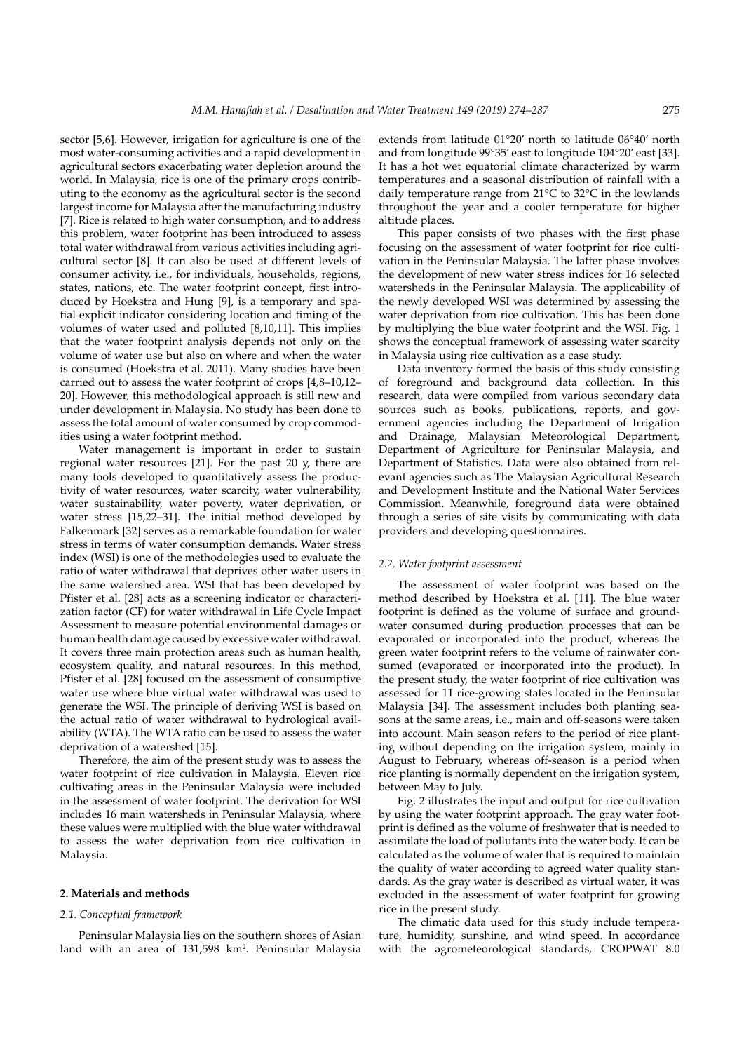sector [5,6]. However, irrigation for agriculture is one of the most water-consuming activities and a rapid development in agricultural sectors exacerbating water depletion around the world. In Malaysia, rice is one of the primary crops contributing to the economy as the agricultural sector is the second largest income for Malaysia after the manufacturing industry [7]. Rice is related to high water consumption, and to address this problem, water footprint has been introduced to assess total water withdrawal from various activities including agricultural sector [8]. It can also be used at different levels of consumer activity, i.e., for individuals, households, regions, states, nations, etc. The water footprint concept, first introduced by Hoekstra and Hung [9], is a temporary and spatial explicit indicator considering location and timing of the volumes of water used and polluted [8,10,11]. This implies that the water footprint analysis depends not only on the volume of water use but also on where and when the water is consumed (Hoekstra et al. 2011). Many studies have been carried out to assess the water footprint of crops [4,8–10,12– 20]. However, this methodological approach is still new and under development in Malaysia. No study has been done to assess the total amount of water consumed by crop commodities using a water footprint method.

Water management is important in order to sustain regional water resources [21]. For the past 20 y, there are many tools developed to quantitatively assess the productivity of water resources, water scarcity, water vulnerability, water sustainability, water poverty, water deprivation, or water stress [15,22–31]. The initial method developed by Falkenmark [32] serves as a remarkable foundation for water stress in terms of water consumption demands. Water stress index (WSI) is one of the methodologies used to evaluate the ratio of water withdrawal that deprives other water users in the same watershed area. WSI that has been developed by Pfister et al. [28] acts as a screening indicator or characterization factor (CF) for water withdrawal in Life Cycle Impact Assessment to measure potential environmental damages or human health damage caused by excessive water withdrawal. It covers three main protection areas such as human health, ecosystem quality, and natural resources. In this method, Pfister et al. [28] focused on the assessment of consumptive water use where blue virtual water withdrawal was used to generate the WSI. The principle of deriving WSI is based on the actual ratio of water withdrawal to hydrological availability (WTA). The WTA ratio can be used to assess the water deprivation of a watershed [15].

Therefore, the aim of the present study was to assess the water footprint of rice cultivation in Malaysia. Eleven rice cultivating areas in the Peninsular Malaysia were included in the assessment of water footprint. The derivation for WSI includes 16 main watersheds in Peninsular Malaysia, where these values were multiplied with the blue water withdrawal to assess the water deprivation from rice cultivation in Malaysia.

## **2. Materials and methods**

#### *2.1. Conceptual framework*

Peninsular Malaysia lies on the southern shores of Asian land with an area of 131,598 km<sup>2</sup>. Peninsular Malaysia

extends from latitude 01°20' north to latitude 06°40' north and from longitude 99°35' east to longitude 104°20' east [33]. It has a hot wet equatorial climate characterized by warm temperatures and a seasonal distribution of rainfall with a daily temperature range from 21°C to 32°C in the lowlands throughout the year and a cooler temperature for higher altitude places.

This paper consists of two phases with the first phase focusing on the assessment of water footprint for rice cultivation in the Peninsular Malaysia. The latter phase involves the development of new water stress indices for 16 selected watersheds in the Peninsular Malaysia. The applicability of the newly developed WSI was determined by assessing the water deprivation from rice cultivation. This has been done by multiplying the blue water footprint and the WSI. Fig. 1 shows the conceptual framework of assessing water scarcity in Malaysia using rice cultivation as a case study.

Data inventory formed the basis of this study consisting of foreground and background data collection. In this research, data were compiled from various secondary data sources such as books, publications, reports, and government agencies including the Department of Irrigation and Drainage, Malaysian Meteorological Department, Department of Agriculture for Peninsular Malaysia, and Department of Statistics. Data were also obtained from relevant agencies such as The Malaysian Agricultural Research and Development Institute and the National Water Services Commission. Meanwhile, foreground data were obtained through a series of site visits by communicating with data providers and developing questionnaires.

#### *2.2. Water footprint assessment*

The assessment of water footprint was based on the method described by Hoekstra et al. [11]. The blue water footprint is defined as the volume of surface and groundwater consumed during production processes that can be evaporated or incorporated into the product, whereas the green water footprint refers to the volume of rainwater consumed (evaporated or incorporated into the product). In the present study, the water footprint of rice cultivation was assessed for 11 rice-growing states located in the Peninsular Malaysia [34]. The assessment includes both planting seasons at the same areas, i.e., main and off-seasons were taken into account. Main season refers to the period of rice planting without depending on the irrigation system, mainly in August to February, whereas off-season is a period when rice planting is normally dependent on the irrigation system, between May to July.

Fig. 2 illustrates the input and output for rice cultivation by using the water footprint approach. The gray water footprint is defined as the volume of freshwater that is needed to assimilate the load of pollutants into the water body. It can be calculated as the volume of water that is required to maintain the quality of water according to agreed water quality standards. As the gray water is described as virtual water, it was excluded in the assessment of water footprint for growing rice in the present study.

The climatic data used for this study include temperature, humidity, sunshine, and wind speed. In accordance with the agrometeorological standards, CROPWAT 8.0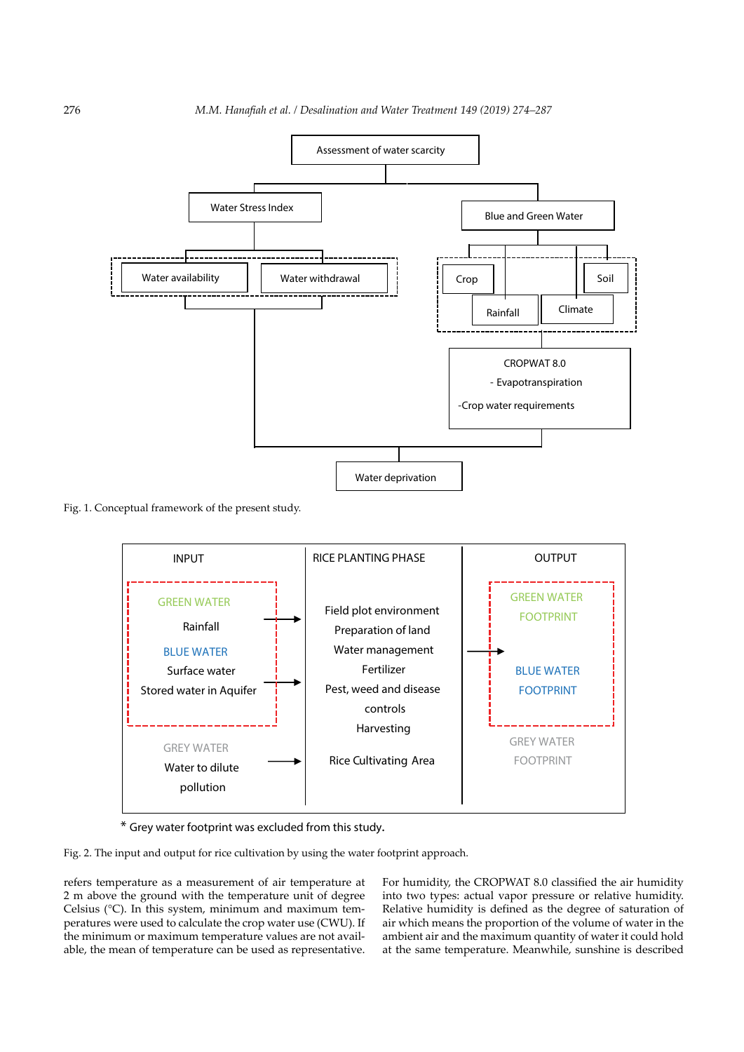

Fig. 1. Conceptual framework of the present study.



\* Grey water footprint was excluded from this study.

Fig. 2. The input and output for rice cultivation by using the water footprint approach.

refers temperature as a measurement of air temperature at 2 m above the ground with the temperature unit of degree Celsius (°C). In this system, minimum and maximum temperatures were used to calculate the crop water use (CWU). If the minimum or maximum temperature values are not available, the mean of temperature can be used as representative.

For humidity, the CROPWAT 8.0 classified the air humidity into two types: actual vapor pressure or relative humidity. Relative humidity is defined as the degree of saturation of air which means the proportion of the volume of water in the ambient air and the maximum quantity of water it could hold at the same temperature. Meanwhile, sunshine is described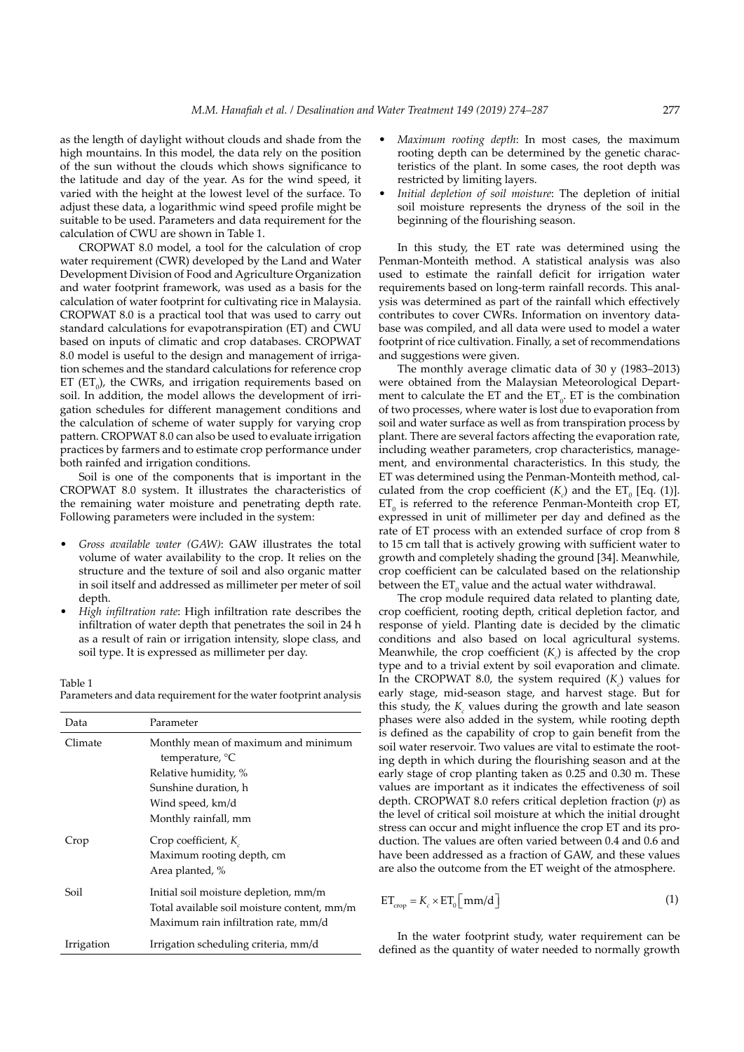as the length of daylight without clouds and shade from the high mountains. In this model, the data rely on the position of the sun without the clouds which shows significance to the latitude and day of the year. As for the wind speed, it varied with the height at the lowest level of the surface. To adjust these data, a logarithmic wind speed profile might be suitable to be used. Parameters and data requirement for the calculation of CWU are shown in Table 1.

CROPWAT 8.0 model, a tool for the calculation of crop water requirement (CWR) developed by the Land and Water Development Division of Food and Agriculture Organization and water footprint framework, was used as a basis for the calculation of water footprint for cultivating rice in Malaysia. CROPWAT 8.0 is a practical tool that was used to carry out standard calculations for evapotranspiration (ET) and CWU based on inputs of climatic and crop databases. CROPWAT 8.0 model is useful to the design and management of irrigation schemes and the standard calculations for reference crop ET  $(ET_0)$ , the CWRs, and irrigation requirements based on soil. In addition, the model allows the development of irrigation schedules for different management conditions and the calculation of scheme of water supply for varying crop pattern. CROPWAT 8.0 can also be used to evaluate irrigation practices by farmers and to estimate crop performance under both rainfed and irrigation conditions.

Soil is one of the components that is important in the CROPWAT 8.0 system. It illustrates the characteristics of the remaining water moisture and penetrating depth rate. Following parameters were included in the system:

- Gross available water (GAW): GAW illustrates the total volume of water availability to the crop. It relies on the structure and the texture of soil and also organic matter in soil itself and addressed as millimeter per meter of soil depth.
- High infiltration rate: High infiltration rate describes the infiltration of water depth that penetrates the soil in 24 h as a result of rain or irrigation intensity, slope class, and soil type. It is expressed as millimeter per day.

#### Table 1

Parameters and data requirement for the water footprint analysis

| Data       | Parameter                                                                                                                    |
|------------|------------------------------------------------------------------------------------------------------------------------------|
| Climate    | Monthly mean of maximum and minimum<br>temperature, °C                                                                       |
|            | Relative humidity, %                                                                                                         |
|            | Sunshine duration, h                                                                                                         |
|            | Wind speed, km/d                                                                                                             |
|            | Monthly rainfall, mm                                                                                                         |
| Crop       | Crop coefficient, $K_{\alpha}$<br>Maximum rooting depth, cm<br>Area planted, %                                               |
| Soil       | Initial soil moisture depletion, mm/m<br>Total available soil moisture content, mm/m<br>Maximum rain infiltration rate, mm/d |
| Irrigation | Irrigation scheduling criteria, mm/d                                                                                         |

- Maximum rooting depth: In most cases, the maximum rooting depth can be determined by the genetic characteristics of the plant. In some cases, the root depth was restricted by limiting layers.
- Initial depletion of soil moisture: The depletion of initial soil moisture represents the dryness of the soil in the beginning of the flourishing season.

In this study, the ET rate was determined using the Penman-Monteith method. A statistical analysis was also used to estimate the rainfall deficit for irrigation water requirements based on long-term rainfall records. This analysis was determined as part of the rainfall which effectively contributes to cover CWRs. Information on inventory database was compiled, and all data were used to model a water footprint of rice cultivation. Finally, a set of recommendations and suggestions were given.

The monthly average climatic data of 30 y (1983–2013) were obtained from the Malaysian Meteorological Department to calculate the ET and the  $ET_0$ . ET is the combination of two processes, where water is lost due to evaporation from soil and water surface as well as from transpiration process by plant. There are several factors affecting the evaporation rate, including weather parameters, crop characteristics, management, and environmental characteristics. In this study, the ET was determined using the Penman-Monteith method, calculated from the crop coefficient  $(K_c)$  and the ET<sub>0</sub> [Eq. (1)].  $ET_0$  is referred to the reference Penman-Monteith crop ET, expressed in unit of millimeter per day and defined as the rate of ET process with an extended surface of crop from 8 to 15 cm tall that is actively growing with sufficient water to growth and completely shading the ground [34]. Meanwhile, crop coefficient can be calculated based on the relationship between the  $ET_0$  value and the actual water withdrawal.

The crop module required data related to planting date, crop coefficient, rooting depth, critical depletion factor, and response of yield. Planting date is decided by the climatic conditions and also based on local agricultural systems. Meanwhile, the crop coefficient  $(K<sub>c</sub>)$  is affected by the crop type and to a trivial extent by soil evaporation and climate. In the CROPWAT 8.0, the system required  $(K_c)$  values for early stage, mid-season stage, and harvest stage. But for this study, the  $K_c$  values during the growth and late season phases were also added in the system, while rooting depth is defined as the capability of crop to gain benefit from the soil water reservoir. Two values are vital to estimate the rooting depth in which during the flourishing season and at the early stage of crop planting taken as 0.25 and 0.30 m. These values are important as it indicates the effectiveness of soil depth. CROPWAT 8.0 refers critical depletion fraction (*p*) as the level of critical soil moisture at which the initial drought stress can occur and might influence the crop ET and its production. The values are often varied between 0.4 and 0.6 and have been addressed as a fraction of GAW, and these values are also the outcome from the ET weight of the atmosphere.

$$
ET_{\text{crop}} = K_c \times ET_0 \left[ \text{mm/d} \right] \tag{1}
$$

In the water footprint study, water requirement can be defined as the quantity of water needed to normally growth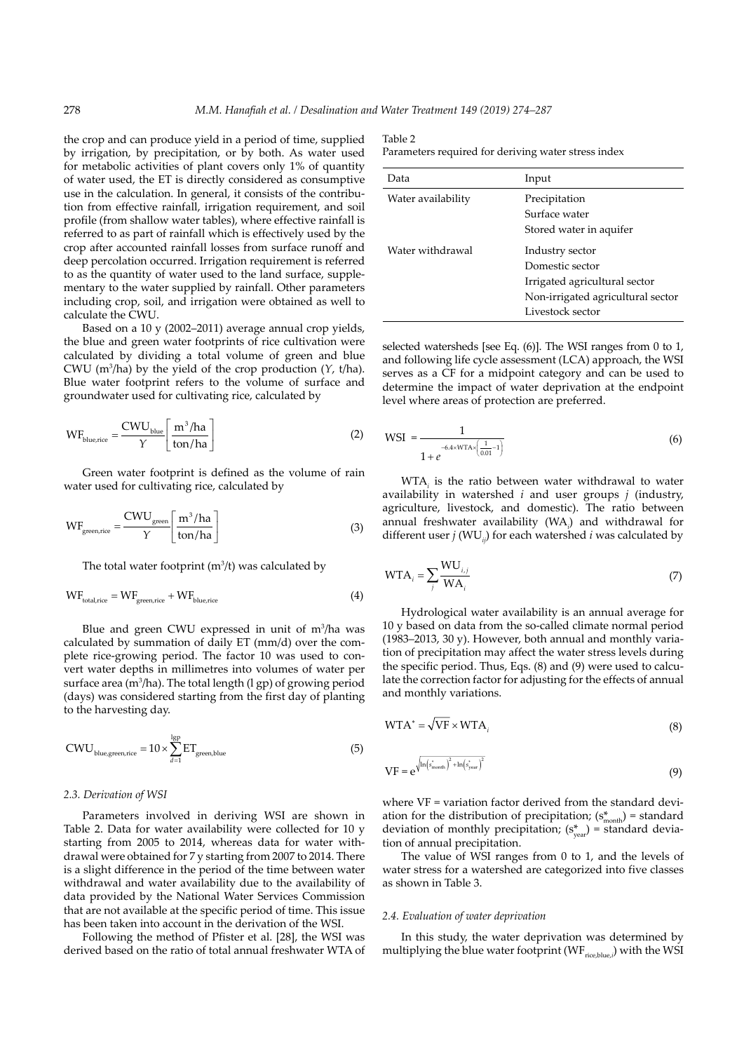the crop and can produce yield in a period of time, supplied by irrigation, by precipitation, or by both. As water used for metabolic activities of plant covers only 1% of quantity of water used, the ET is directly considered as consumptive use in the calculation. In general, it consists of the contribution from effective rainfall, irrigation requirement, and soil profile (from shallow water tables), where effective rainfall is referred to as part of rainfall which is effectively used by the crop after accounted rainfall losses from surface runoff and deep percolation occurred. Irrigation requirement is referred to as the quantity of water used to the land surface, supplementary to the water supplied by rainfall. Other parameters including crop, soil, and irrigation were obtained as well to calculate the CWU.

Based on a 10 y (2002–2011) average annual crop yields, the blue and green water footprints of rice cultivation were calculated by dividing a total volume of green and blue CWU (m3 /ha) by the yield of the crop production (*Y*, t/ha). Blue water footprint refers to the volume of surface and groundwater used for cultivating rice, calculated by

$$
WF_{\text{blue,rice}} = \frac{CWU_{\text{blue}}}{\gamma} \left[ \frac{m^3/ha}{\text{ton/ha}} \right]
$$
 (2)

Green water footprint is defined as the volume of rain water used for cultivating rice, calculated by

$$
WF_{\text{green,rice}} = \frac{CWU_{\text{green}}}{\gamma} \left[ \frac{m^3 / ha}{\text{ton/ha}} \right]
$$
 (3)

The total water footprint  $(m^3/t)$  was calculated by

$$
WF_{\text{total,rice}} = WF_{\text{green,rice}} + WF_{\text{blue,rice}} \tag{4}
$$

Blue and green CWU expressed in unit of  $m^3/ha$  was calculated by summation of daily ET (mm/d) over the complete rice-growing period. The factor 10 was used to convert water depths in millimetres into volumes of water per surface area ( $m^3/ha$ ). The total length (l gp) of growing period (days) was considered starting from the first day of planting to the harvesting day.

$$
CWU_{\text{blue,green,rice}} = 10 \times \sum_{d=1}^{\text{lgp}} ET_{\text{green,blue}}
$$
 (5)

### *2.3. Derivation of WSI*

Parameters involved in deriving WSI are shown in Table 2. Data for water availability were collected for 10 y starting from 2005 to 2014, whereas data for water withdrawal were obtained for 7 y starting from 2007 to 2014. There is a slight difference in the period of the time between water withdrawal and water availability due to the availability of data provided by the National Water Services Commission that are not available at the specific period of time. This issue has been taken into account in the derivation of the WSI.

Following the method of Pfister et al. [28], the WSI was derived based on the ratio of total annual freshwater WTA of

#### Table 2

Parameters required for deriving water stress index

| Data               | Input                                                                                                                        |
|--------------------|------------------------------------------------------------------------------------------------------------------------------|
| Water availability | Precipitation<br>Surface water<br>Stored water in aquifer                                                                    |
| Water withdrawal   | Industry sector<br>Domestic sector<br>Irrigated agricultural sector<br>Non-irrigated agricultural sector<br>Livestock sector |

selected watersheds [see Eq. (6)]. The WSI ranges from 0 to 1, and following life cycle assessment (LCA) approach, the WSI serves as a CF for a midpoint category and can be used to determine the impact of water deprivation at the endpoint level where areas of protection are preferred.

WSI = 
$$
\frac{1}{1 + e^{-6.4 \times WTA \times \left(\frac{1}{0.01} - 1\right)}}
$$
(6)

WTA*<sup>i</sup>* is the ratio between water withdrawal to water availability in watershed *i* and user groups *j* (industry, agriculture, livestock, and domestic). The ratio between annual freshwater availability (WA*<sup>i</sup>* ) and withdrawal for different user *j* (WU*ij*) for each watershed *i* was calculated by

$$
WTA_i = \sum_{j} \frac{WU_{i,j}}{WA_i}
$$
 (7)

Hydrological water availability is an annual average for 10 y based on data from the so-called climate normal period (1983–2013, 30 y). However, both annual and monthly variation of precipitation may affect the water stress levels during the specific period. Thus, Eqs. (8) and (9) were used to calculate the correction factor for adjusting for the effects of annual and monthly variations.

$$
WTA^* = \sqrt{VF \times WTA_i}
$$
 (8)

$$
VF = e^{\sqrt{\ln\left(s_{\text{month}}^*\right)^2 + \ln\left(s_{\text{year}}^*\right)^2}}
$$
\n(9)

where VF = variation factor derived from the standard deviation for the distribution of precipitation;  $(s_{\text{month}}^*)$  = standard deviation of monthly precipitation;  $(s_{\text{year}}^*)$  = standard deviation of annual precipitation.

The value of WSI ranges from 0 to 1, and the levels of water stress for a watershed are categorized into five classes as shown in Table 3.

#### *2.4. Evaluation of water deprivation*

In this study, the water deprivation was determined by multiplying the blue water footprint  $(WF_{\text{rice,blue},i})$  with the WSI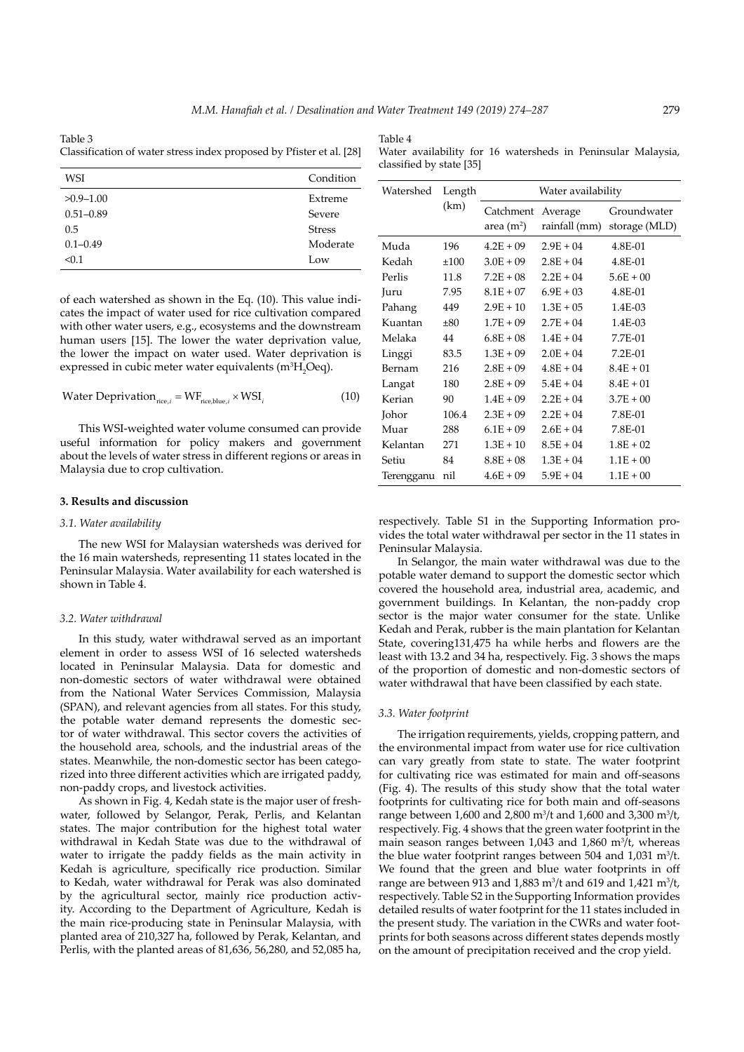Table 4

Table 3 Classification of water stress index proposed by Pfister et al. [28]

|                          |  | Water availability for 16 watersheds in Peninsular Malaysia, |  |  |
|--------------------------|--|--------------------------------------------------------------|--|--|
| classified by state [35] |  |                                                              |  |  |

| WSI           | Condition     |
|---------------|---------------|
| $>0.9 - 1.00$ | Extreme       |
| $0.51 - 0.89$ | Severe        |
| 0.5           | <b>Stress</b> |
| $0.1 - 0.49$  | Moderate      |
| < 0.1         | Low           |

of each watershed as shown in the Eq. (10). This value indicates the impact of water used for rice cultivation compared with other water users, e.g., ecosystems and the downstream human users [15]. The lower the water deprivation value, the lower the impact on water used. Water deprivation is expressed in cubic meter water equivalents (m ${}^{3}H_{2}O$ eq).

Water Deprivation<sub>rice,i</sub> = 
$$
WF_{\text{rice,blue},i} \times WSI_i
$$
 (10)

This WSI-weighted water volume consumed can provide useful information for policy makers and government about the levels of water stress in different regions or areas in Malaysia due to crop cultivation.

# **3. Results and discussion**

### *3.1. Water availability*

The new WSI for Malaysian watersheds was derived for the 16 main watersheds, representing 11 states located in the Peninsular Malaysia. Water availability for each watershed is shown in Table 4.

#### *3.2. Water withdrawal*

In this study, water withdrawal served as an important element in order to assess WSI of 16 selected watersheds located in Peninsular Malaysia. Data for domestic and non-domestic sectors of water withdrawal were obtained from the National Water Services Commission, Malaysia (SPAN), and relevant agencies from all states. For this study, the potable water demand represents the domestic sector of water withdrawal. This sector covers the activities of the household area, schools, and the industrial areas of the states. Meanwhile, the non-domestic sector has been categorized into three different activities which are irrigated paddy, non-paddy crops, and livestock activities.

As shown in Fig. 4, Kedah state is the major user of freshwater, followed by Selangor, Perak, Perlis, and Kelantan states. The major contribution for the highest total water withdrawal in Kedah State was due to the withdrawal of water to irrigate the paddy fields as the main activity in Kedah is agriculture, specifically rice production. Similar to Kedah, water withdrawal for Perak was also dominated by the agricultural sector, mainly rice production activity. According to the Department of Agriculture, Kedah is the main rice-producing state in Peninsular Malaysia, with planted area of 210,327 ha, followed by Perak, Kelantan, and Perlis, with the planted areas of 81,636, 56,280, and 52,085 ha,

| Watershed  | Length | Water availability          |                          |                              |  |  |
|------------|--------|-----------------------------|--------------------------|------------------------------|--|--|
|            | (km)   | Catchment<br>area (m $^2$ ) | Average<br>rainfall (mm) | Groundwater<br>storage (MLD) |  |  |
| Muda       | 196    | $4.2E + 09$                 | $2.9E + 04$              | 4.8E-01                      |  |  |
| Kedah      | ±100   | $3.0E + 09$                 | $2.8E + 04$              | 4.8E-01                      |  |  |
| Perlis     | 11.8   | $7.2E + 08$                 | $2.2E + 04$              | $5.6E + 00$                  |  |  |
| Juru       | 7.95   | $8.1E + 07$                 | $6.9E + 0.3$             | 4.8E-01                      |  |  |
| Pahang     | 449    | $2.9E + 10$                 | $1.3E + 0.5$             | 1.4E-03                      |  |  |
| Kuantan    | ±80    | $1.7E + 09$                 | $2.7E + 04$              | 1.4E-03                      |  |  |
| Melaka     | 44     | $6.8E + 08$                 | $1.4E + 04$              | 7.7E-01                      |  |  |
| Linggi     | 83.5   | $1.3E + 09$                 | $2.0E + 04$              | 7.2E-01                      |  |  |
| Bernam     | 216    | $2.8E + 09$                 | $4.8E + 04$              | $8.4E + 01$                  |  |  |
| Langat     | 180    | $2.8E + 09$                 | $5.4E + 04$              | $8.4E + 01$                  |  |  |
| Kerian     | 90     | $1.4E + 09$                 | $2.2E + 04$              | $3.7E + 00$                  |  |  |
| Johor      | 106.4  | $2.3E + 09$                 | $2.2E + 04$              | 7.8E-01                      |  |  |
| Muar       | 288    | $6.1E + 09$                 | $2.6E + 04$              | 7.8E-01                      |  |  |
| Kelantan   | 271    | $1.3E + 10$                 | $8.5E + 04$              | $1.8E + 02$                  |  |  |
| Setiu      | 84     | $8.8E + 0.8$                | $1.3E + 04$              | $1.1E + 00$                  |  |  |
| Terengganu | nil    | $4.6E + 09$                 | $5.9E + 04$              | $1.1E + 00$                  |  |  |

respectively. Table S1 in the Supporting Information provides the total water withdrawal per sector in the 11 states in Peninsular Malaysia.

In Selangor, the main water withdrawal was due to the potable water demand to support the domestic sector which covered the household area, industrial area, academic, and government buildings. In Kelantan, the non-paddy crop sector is the major water consumer for the state. Unlike Kedah and Perak, rubber is the main plantation for Kelantan State, covering131,475 ha while herbs and flowers are the least with 13.2 and 34 ha, respectively. Fig. 3 shows the maps of the proportion of domestic and non-domestic sectors of water withdrawal that have been classified by each state.

#### *3.3. Water footprint*

The irrigation requirements, yields, cropping pattern, and the environmental impact from water use for rice cultivation can vary greatly from state to state. The water footprint for cultivating rice was estimated for main and off-seasons (Fig. 4). The results of this study show that the total water footprints for cultivating rice for both main and off-seasons range between 1,600 and 2,800 m<sup>3</sup>/t and 1,600 and 3,300 m<sup>3</sup>/t, respectively. Fig. 4 shows that the green water footprint in the main season ranges between  $1,043$  and  $1,860$  m<sup>3</sup>/t, whereas the blue water footprint ranges between 504 and  $1,031 \text{ m}^3$ /t. We found that the green and blue water footprints in off range are between 913 and  $1,883$  m<sup>3</sup>/t and 619 and  $1,421$  m<sup>3</sup>/t, respectively. Table S2 in the Supporting Information provides detailed results of water footprint for the 11 states included in the present study. The variation in the CWRs and water footprints for both seasons across different states depends mostly on the amount of precipitation received and the crop yield.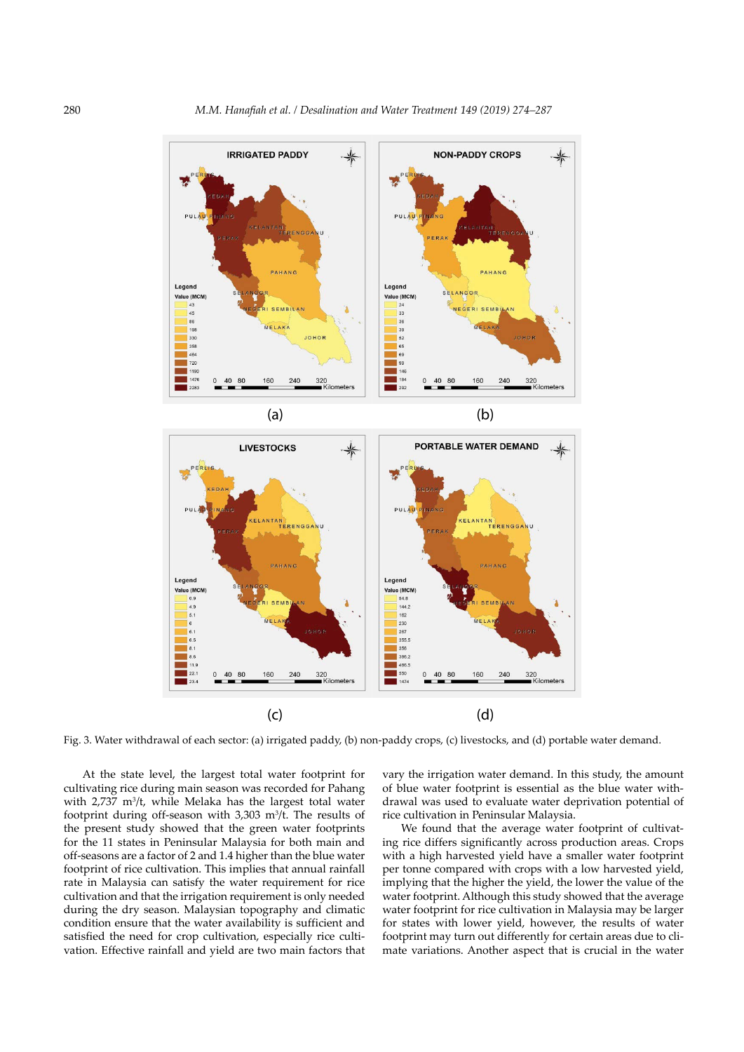

Fig. 3. Water withdrawal of each sector: (a) irrigated paddy, (b) non-paddy crops, (c) livestocks, and (d) portable water demand.

At the state level, the largest total water footprint for cultivating rice during main season was recorded for Pahang with  $2,737$  m<sup>3</sup>/t, while Melaka has the largest total water footprint during off-season with  $3,303$  m<sup>3</sup>/t. The results of the present study showed that the green water footprints for the 11 states in Peninsular Malaysia for both main and off-seasons are a factor of 2 and 1.4 higher than the blue water footprint of rice cultivation. This implies that annual rainfall rate in Malaysia can satisfy the water requirement for rice cultivation and that the irrigation requirement is only needed during the dry season. Malaysian topography and climatic condition ensure that the water availability is sufficient and satisfied the need for crop cultivation, especially rice cultivation. Effective rainfall and yield are two main factors that

vary the irrigation water demand. In this study, the amount of blue water footprint is essential as the blue water withdrawal was used to evaluate water deprivation potential of rice cultivation in Peninsular Malaysia.

We found that the average water footprint of cultivating rice differs significantly across production areas. Crops with a high harvested yield have a smaller water footprint per tonne compared with crops with a low harvested yield, implying that the higher the yield, the lower the value of the water footprint. Although this study showed that the average water footprint for rice cultivation in Malaysia may be larger for states with lower yield, however, the results of water footprint may turn out differently for certain areas due to climate variations. Another aspect that is crucial in the water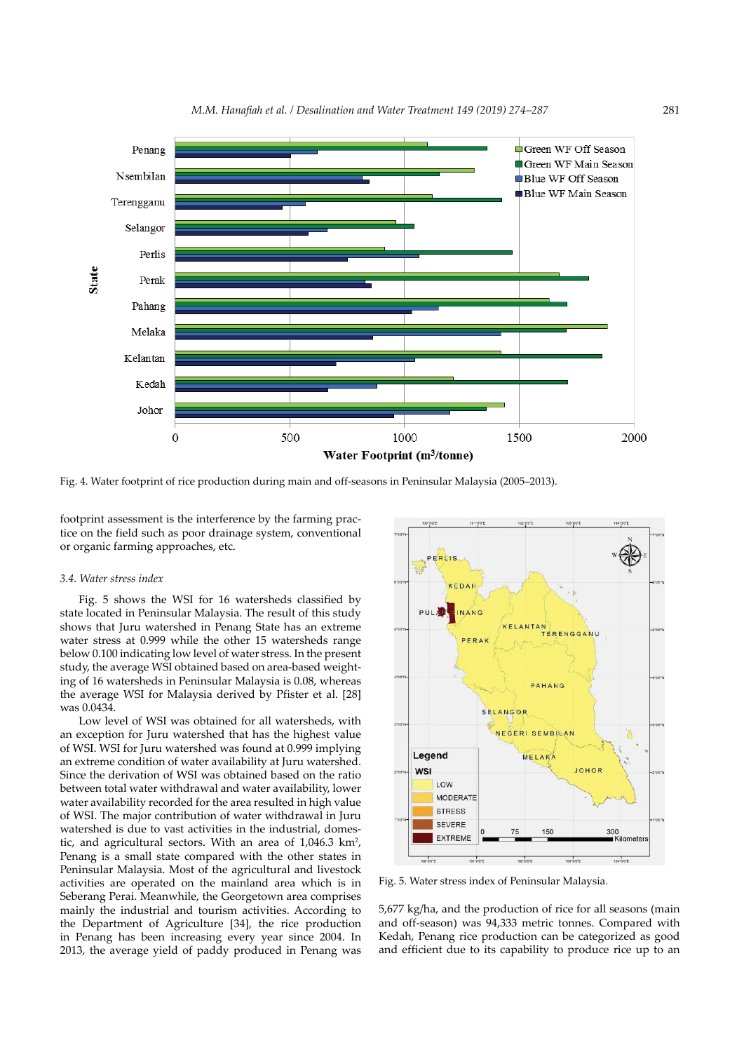

*M.M. Hanafiah et al. / Desalination and Water Treatment 149 (2019) 274–287* 281

Fig. 4. Water footprint of rice production during main and off-seasons in Peninsular Malaysia (2005–2013).

footprint assessment is the interference by the farming practice on the field such as poor drainage system, conventional or organic farming approaches, etc.

## *3.4. Water stress index*

Fig. 5 shows the WSI for 16 watersheds classified by state located in Peninsular Malaysia. The result of this study shows that Juru watershed in Penang State has an extreme water stress at 0.999 while the other 15 watersheds range below 0.100 indicating low level of water stress. In the present study, the average WSI obtained based on area-based weighting of 16 watersheds in Peninsular Malaysia is 0.08, whereas the average WSI for Malaysia derived by Pfister et al. [28] was 0.0434.

Low level of WSI was obtained for all watersheds, with an exception for Juru watershed that has the highest value of WSI. WSI for Juru watershed was found at 0.999 implying an extreme condition of water availability at Juru watershed. Since the derivation of WSI was obtained based on the ratio between total water withdrawal and water availability, lower water availability recorded for the area resulted in high value of WSI. The major contribution of water withdrawal in Juru watershed is due to vast activities in the industrial, domestic, and agricultural sectors. With an area of  $1,046.3 \text{ km}^2$ , Penang is a small state compared with the other states in Peninsular Malaysia. Most of the agricultural and livestock activities are operated on the mainland area which is in Seberang Perai. Meanwhile, the Georgetown area comprises mainly the industrial and tourism activities. According to the Department of Agriculture [34], the rice production in Penang has been increasing every year since 2004. In 2013, the average yield of paddy produced in Penang was



Fig. 5. Water stress index of Peninsular Malaysia.

5,677 kg/ha, and the production of rice for all seasons (main and off-season) was 94,333 metric tonnes. Compared with Kedah, Penang rice production can be categorized as good and efficient due to its capability to produce rice up to an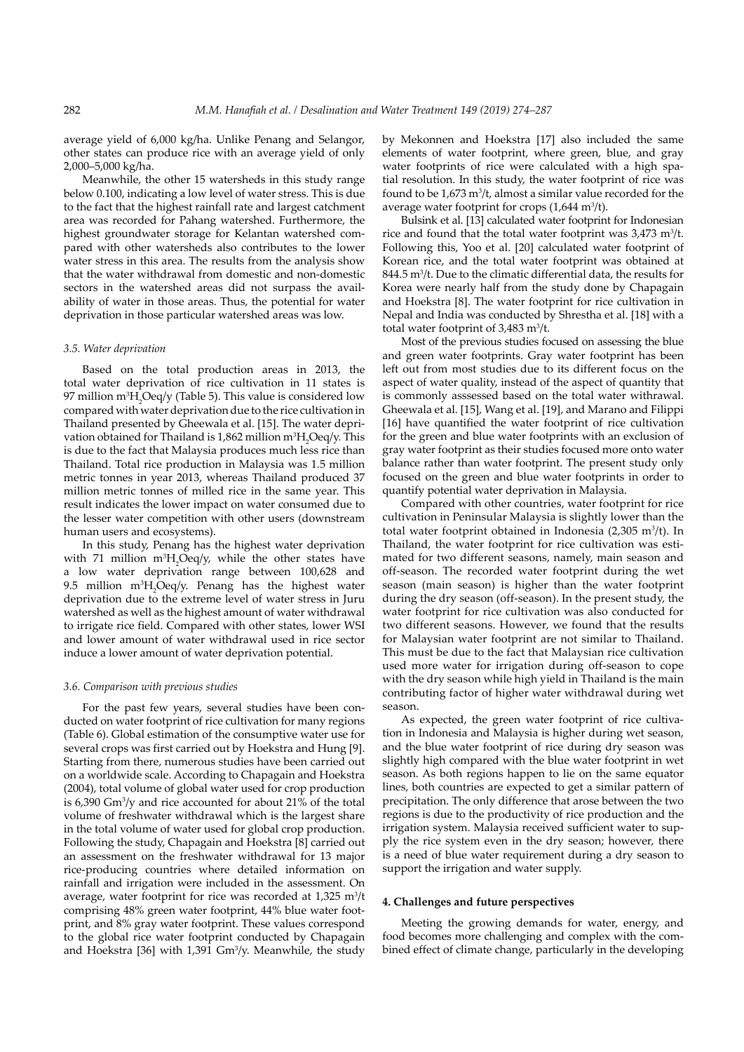average yield of 6,000 kg/ha. Unlike Penang and Selangor, other states can produce rice with an average yield of only 2,000–5,000 kg/ha.

Meanwhile, the other 15 watersheds in this study range below 0.100, indicating a low level of water stress. This is due to the fact that the highest rainfall rate and largest catchment area was recorded for Pahang watershed. Furthermore, the highest groundwater storage for Kelantan watershed compared with other watersheds also contributes to the lower water stress in this area. The results from the analysis show that the water withdrawal from domestic and non-domestic sectors in the watershed areas did not surpass the availability of water in those areas. Thus, the potential for water deprivation in those particular watershed areas was low.

# *3.5. Water deprivation*

Based on the total production areas in 2013, the total water deprivation of rice cultivation in 11 states is 97 million m3 H2 Oeq/y (Table 5). This value is considered low compared with water deprivation due to the rice cultivation in Thailand presented by Gheewala et al. [15]. The water deprivation obtained for Thailand is 1,862 million  $m^3H_2Oeq/y$ . This is due to the fact that Malaysia produces much less rice than Thailand. Total rice production in Malaysia was 1.5 million metric tonnes in year 2013, whereas Thailand produced 37 million metric tonnes of milled rice in the same year. This result indicates the lower impact on water consumed due to the lesser water competition with other users (downstream human users and ecosystems).

In this study, Penang has the highest water deprivation with 71 million  $m^3H_2Oeq/y$ , while the other states have a low water deprivation range between 100,628 and 9.5 million m3 H2 Oeq/y. Penang has the highest water deprivation due to the extreme level of water stress in Juru watershed as well as the highest amount of water withdrawal to irrigate rice field. Compared with other states, lower WSI and lower amount of water withdrawal used in rice sector induce a lower amount of water deprivation potential.

#### *3.6. Comparison with previous studies*

For the past few years, several studies have been conducted on water footprint of rice cultivation for many regions (Table 6). Global estimation of the consumptive water use for several crops was first carried out by Hoekstra and Hung [9]. Starting from there, numerous studies have been carried out on a worldwide scale. According to Chapagain and Hoekstra (2004), total volume of global water used for crop production is 6,390 Gm3 /y and rice accounted for about 21% of the total volume of freshwater withdrawal which is the largest share in the total volume of water used for global crop production. Following the study, Chapagain and Hoekstra [8] carried out an assessment on the freshwater withdrawal for 13 major rice-producing countries where detailed information on rainfall and irrigation were included in the assessment. On average, water footprint for rice was recorded at  $1,325 \text{ m}^3/\text{t}$ comprising 48% green water footprint, 44% blue water footprint, and 8% gray water footprint. These values correspond to the global rice water footprint conducted by Chapagain and Hoekstra [36] with 1,391 Gm3 /y. Meanwhile, the study by Mekonnen and Hoekstra [17] also included the same elements of water footprint, where green, blue, and gray water footprints of rice were calculated with a high spatial resolution. In this study, the water footprint of rice was found to be  $1.673 \text{ m}^3$ /t, almost a similar value recorded for the average water footprint for crops  $(1,644 \text{ m}^3/t)$ .

Bulsink et al. [13] calculated water footprint for Indonesian rice and found that the total water footprint was  $3,473$  m<sup>3</sup>/t. Following this, Yoo et al. [20] calculated water footprint of Korean rice, and the total water footprint was obtained at 844.5 m3 /t. Due to the climatic differential data, the results for Korea were nearly half from the study done by Chapagain and Hoekstra [8]. The water footprint for rice cultivation in Nepal and India was conducted by Shrestha et al. [18] with a total water footprint of  $3,483$  m<sup>3</sup>/t.

Most of the previous studies focused on assessing the blue and green water footprints. Gray water footprint has been left out from most studies due to its different focus on the aspect of water quality, instead of the aspect of quantity that is commonly asssessed based on the total water withrawal. Gheewala et al. [15], Wang et al. [19], and Marano and Filippi [16] have quantified the water footprint of rice cultivation for the green and blue water footprints with an exclusion of gray water footprint as their studies focused more onto water balance rather than water footprint. The present study only focused on the green and blue water footprints in order to quantify potential water deprivation in Malaysia.

Compared with other countries, water footprint for rice cultivation in Peninsular Malaysia is slightly lower than the total water footprint obtained in Indonesia  $(2,305 \text{ m}^3/t)$ . In Thailand, the water footprint for rice cultivation was estimated for two different seasons, namely, main season and off-season. The recorded water footprint during the wet season (main season) is higher than the water footprint during the dry season (off-season). In the present study, the water footprint for rice cultivation was also conducted for two different seasons. However, we found that the results for Malaysian water footprint are not similar to Thailand. This must be due to the fact that Malaysian rice cultivation used more water for irrigation during off-season to cope with the dry season while high yield in Thailand is the main contributing factor of higher water withdrawal during wet season.

As expected, the green water footprint of rice cultivation in Indonesia and Malaysia is higher during wet season, and the blue water footprint of rice during dry season was slightly high compared with the blue water footprint in wet season. As both regions happen to lie on the same equator lines, both countries are expected to get a similar pattern of precipitation. The only difference that arose between the two regions is due to the productivity of rice production and the irrigation system. Malaysia received sufficient water to supply the rice system even in the dry season; however, there is a need of blue water requirement during a dry season to support the irrigation and water supply.

#### **4. Challenges and future perspectives**

Meeting the growing demands for water, energy, and food becomes more challenging and complex with the combined effect of climate change, particularly in the developing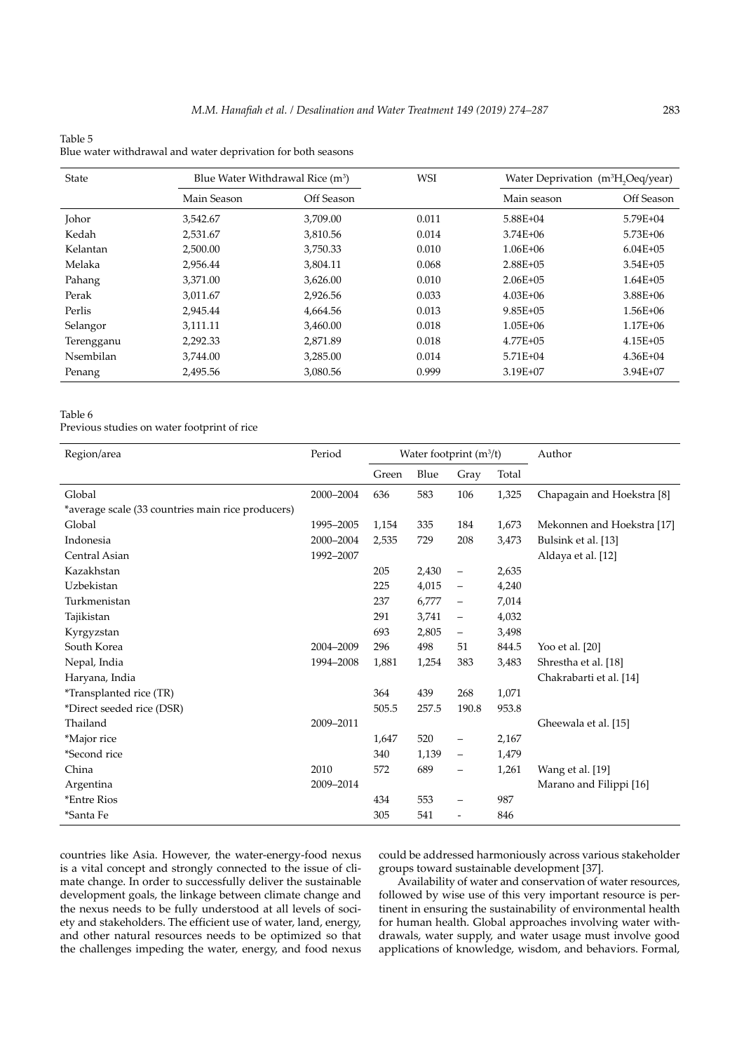# Table 5 Blue water withdrawal and water deprivation for both seasons

| State             | Blue Water Withdrawal Rice $(m^3)$ |            | <b>WSI</b> | Water Deprivation $(m^3H_0Oeq/year)$ |              |  |
|-------------------|------------------------------------|------------|------------|--------------------------------------|--------------|--|
|                   | Main Season                        | Off Season |            | Main season                          | Off Season   |  |
| <b>Johor</b>      | 3,542.67                           | 3.709.00   | 0.011      | 5.88E+04                             | 5.79E+04     |  |
| Kedah             | 2.531.67                           | 3,810.56   | 0.014      | $3.74E + 06$                         | $5.73E + 06$ |  |
| Kelantan          | 2,500.00                           | 3,750.33   | 0.010      | $1.06E + 06$                         | $6.04E + 05$ |  |
| Melaka            | 2.956.44                           | 3,804.11   | 0.068      | $2.88E + 05$                         | $3.54E + 05$ |  |
| Pahang            | 3,371.00                           | 3,626.00   | 0.010      | $2.06E + 05$                         | $1.64E + 05$ |  |
| Perak             | 3,011.67                           | 2,926.56   | 0.033      | $4.03E + 06$                         | $3.88E + 06$ |  |
| Perlis            | 2.945.44                           | 4,664.56   | 0.013      | $9.85E + 05$                         | 1.56E+06     |  |
| Selangor          | 3,111.11                           | 3,460.00   | 0.018      | $1.05E + 06$                         | $1.17E + 06$ |  |
| Terengganu        | 2,292.33                           | 2,871.89   | 0.018      | $4.77E + 0.5$                        | $4.15E + 05$ |  |
| <b>N</b> sembilan | 3,744.00                           | 3.285.00   | 0.014      | $5.71E + 04$                         | $4.36E + 04$ |  |
| Penang            | 2,495.56                           | 3,080.56   | 0.999      | 3.19E+07                             | 3.94E+07     |  |

# Table 6

Previous studies on water footprint of rice

| Region/area                                       | Period    | Water footprint (m <sup>3</sup> /t) |       |                          | Author |                            |
|---------------------------------------------------|-----------|-------------------------------------|-------|--------------------------|--------|----------------------------|
|                                                   |           | Green                               | Blue  | Gray                     | Total  |                            |
| Global                                            | 2000-2004 | 636                                 | 583   | 106                      | 1,325  | Chapagain and Hoekstra [8] |
| *average scale (33 countries main rice producers) |           |                                     |       |                          |        |                            |
| Global                                            | 1995-2005 | 1,154                               | 335   | 184                      | 1,673  | Mekonnen and Hoekstra [17] |
| Indonesia                                         | 2000-2004 | 2,535                               | 729   | 208                      | 3,473  | Bulsink et al. [13]        |
| Central Asian                                     | 1992-2007 |                                     |       |                          |        | Aldaya et al. [12]         |
| Kazakhstan                                        |           | 205                                 | 2,430 | -                        | 2,635  |                            |
| Uzbekistan                                        |           | 225                                 | 4,015 | $\overline{\phantom{0}}$ | 4,240  |                            |
| Turkmenistan                                      |           | 237                                 | 6,777 |                          | 7,014  |                            |
| Tajikistan                                        |           | 291                                 | 3,741 | $\qquad \qquad -$        | 4,032  |                            |
| Kyrgyzstan                                        |           | 693                                 | 2,805 | $\qquad \qquad -$        | 3,498  |                            |
| South Korea                                       | 2004-2009 | 296                                 | 498   | 51                       | 844.5  | Yoo et al. [20]            |
| Nepal, India                                      | 1994-2008 | 1,881                               | 1,254 | 383                      | 3,483  | Shrestha et al. [18]       |
| Haryana, India                                    |           |                                     |       |                          |        | Chakrabarti et al. [14]    |
| <i>*Transplanted rice (TR)</i>                    |           | 364                                 | 439   | 268                      | 1,071  |                            |
| *Direct seeded rice (DSR)                         |           | 505.5                               | 257.5 | 190.8                    | 953.8  |                            |
| Thailand                                          | 2009-2011 |                                     |       |                          |        | Gheewala et al. [15]       |
| *Major rice                                       |           | 1,647                               | 520   | $\qquad \qquad -$        | 2,167  |                            |
| *Second rice                                      |           | 340                                 | 1,139 | $\qquad \qquad -$        | 1,479  |                            |
| China                                             | 2010      | 572                                 | 689   | $\overline{\phantom{0}}$ | 1,261  | Wang et al. [19]           |
| Argentina                                         | 2009-2014 |                                     |       |                          |        | Marano and Filippi [16]    |
| <i>*Entre Rios</i>                                |           | 434                                 | 553   | -                        | 987    |                            |
| *Santa Fe                                         |           | 305                                 | 541   | $\overline{\phantom{a}}$ | 846    |                            |

countries like Asia. However, the water-energy-food nexus is a vital concept and strongly connected to the issue of climate change. In order to successfully deliver the sustainable development goals, the linkage between climate change and the nexus needs to be fully understood at all levels of society and stakeholders. The efficient use of water, land, energy, and other natural resources needs to be optimized so that the challenges impeding the water, energy, and food nexus

could be addressed harmoniously across various stakeholder groups toward sustainable development [37].

Availability of water and conservation of water resources, followed by wise use of this very important resource is pertinent in ensuring the sustainability of environmental health for human health. Global approaches involving water withdrawals, water supply, and water usage must involve good applications of knowledge, wisdom, and behaviors. Formal,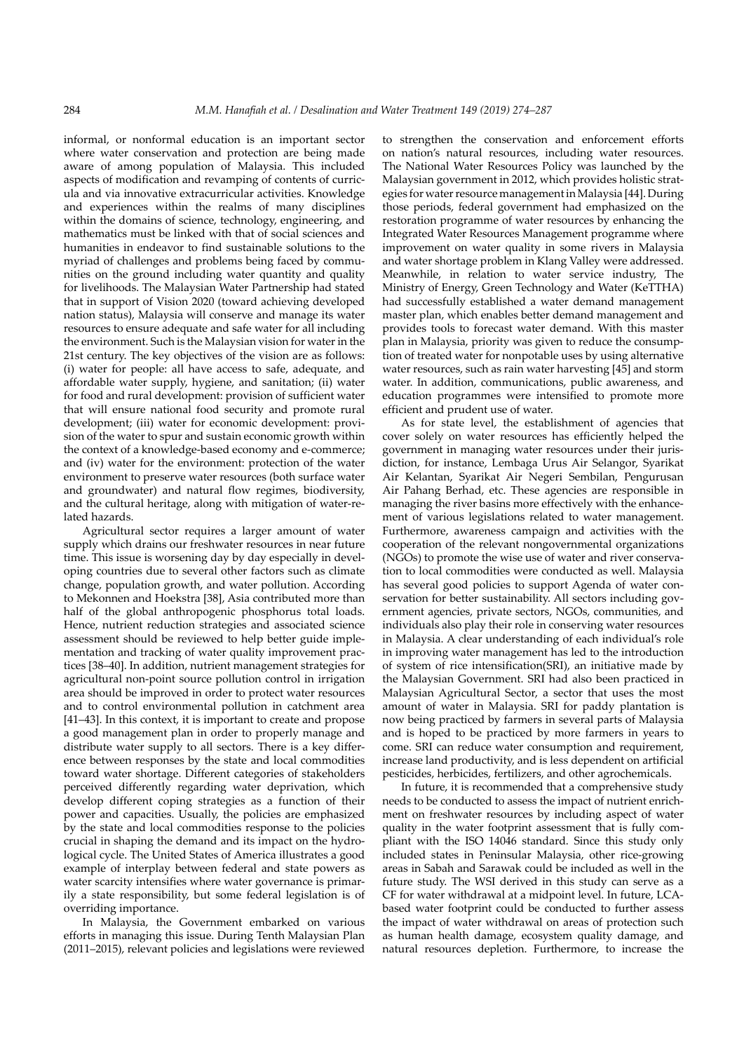informal, or nonformal education is an important sector where water conservation and protection are being made aware of among population of Malaysia. This included aspects of modification and revamping of contents of curricula and via innovative extracurricular activities. Knowledge and experiences within the realms of many disciplines within the domains of science, technology, engineering, and mathematics must be linked with that of social sciences and humanities in endeavor to find sustainable solutions to the myriad of challenges and problems being faced by communities on the ground including water quantity and quality for livelihoods. The Malaysian Water Partnership had stated that in support of Vision 2020 (toward achieving developed nation status), Malaysia will conserve and manage its water resources to ensure adequate and safe water for all including the environment. Such is the Malaysian vision for water in the 21st century. The key objectives of the vision are as follows: (i) water for people: all have access to safe, adequate, and affordable water supply, hygiene, and sanitation; (ii) water for food and rural development: provision of sufficient water that will ensure national food security and promote rural development; (iii) water for economic development: provision of the water to spur and sustain economic growth within the context of a knowledge-based economy and e-commerce; and (iv) water for the environment: protection of the water environment to preserve water resources (both surface water and groundwater) and natural flow regimes, biodiversity, and the cultural heritage, along with mitigation of water-related hazards.

Agricultural sector requires a larger amount of water supply which drains our freshwater resources in near future time. This issue is worsening day by day especially in developing countries due to several other factors such as climate change, population growth, and water pollution. According to Mekonnen and Hoekstra [38], Asia contributed more than half of the global anthropogenic phosphorus total loads. Hence, nutrient reduction strategies and associated science assessment should be reviewed to help better guide implementation and tracking of water quality improvement practices [38–40]. In addition, nutrient management strategies for agricultural non-point source pollution control in irrigation area should be improved in order to protect water resources and to control environmental pollution in catchment area [41–43]. In this context, it is important to create and propose a good management plan in order to properly manage and distribute water supply to all sectors. There is a key difference between responses by the state and local commodities toward water shortage. Different categories of stakeholders perceived differently regarding water deprivation, which develop different coping strategies as a function of their power and capacities. Usually, the policies are emphasized by the state and local commodities response to the policies crucial in shaping the demand and its impact on the hydrological cycle. The United States of America illustrates a good example of interplay between federal and state powers as water scarcity intensifies where water governance is primarily a state responsibility, but some federal legislation is of overriding importance.

In Malaysia, the Government embarked on various efforts in managing this issue. During Tenth Malaysian Plan (2011–2015), relevant policies and legislations were reviewed

to strengthen the conservation and enforcement efforts on nation's natural resources, including water resources. The National Water Resources Policy was launched by the Malaysian government in 2012, which provides holistic strategies for water resource management in Malaysia [44]. During those periods, federal government had emphasized on the restoration programme of water resources by enhancing the Integrated Water Resources Management programme where improvement on water quality in some rivers in Malaysia and water shortage problem in Klang Valley were addressed. Meanwhile, in relation to water service industry, The Ministry of Energy, Green Technology and Water (KeTTHA) had successfully established a water demand management master plan, which enables better demand management and provides tools to forecast water demand. With this master plan in Malaysia, priority was given to reduce the consumption of treated water for nonpotable uses by using alternative water resources, such as rain water harvesting [45] and storm water. In addition, communications, public awareness, and education programmes were intensified to promote more efficient and prudent use of water.

As for state level, the establishment of agencies that cover solely on water resources has efficiently helped the government in managing water resources under their jurisdiction, for instance, Lembaga Urus Air Selangor, Syarikat Air Kelantan, Syarikat Air Negeri Sembilan, Pengurusan Air Pahang Berhad, etc. These agencies are responsible in managing the river basins more effectively with the enhancement of various legislations related to water management. Furthermore, awareness campaign and activities with the cooperation of the relevant nongovernmental organizations (NGOs) to promote the wise use of water and river conservation to local commodities were conducted as well. Malaysia has several good policies to support Agenda of water conservation for better sustainability. All sectors including government agencies, private sectors, NGOs, communities, and individuals also play their role in conserving water resources in Malaysia. A clear understanding of each individual's role in improving water management has led to the introduction of system of rice intensification(SRI), an initiative made by the Malaysian Government. SRI had also been practiced in Malaysian Agricultural Sector, a sector that uses the most amount of water in Malaysia. SRI for paddy plantation is now being practiced by farmers in several parts of Malaysia and is hoped to be practiced by more farmers in years to come. SRI can reduce water consumption and requirement, increase land productivity, and is less dependent on artificial pesticides, herbicides, fertilizers, and other agrochemicals.

In future, it is recommended that a comprehensive study needs to be conducted to assess the impact of nutrient enrichment on freshwater resources by including aspect of water quality in the water footprint assessment that is fully compliant with the ISO 14046 standard. Since this study only included states in Peninsular Malaysia, other rice-growing areas in Sabah and Sarawak could be included as well in the future study. The WSI derived in this study can serve as a CF for water withdrawal at a midpoint level. In future, LCAbased water footprint could be conducted to further assess the impact of water withdrawal on areas of protection such as human health damage, ecosystem quality damage, and natural resources depletion. Furthermore, to increase the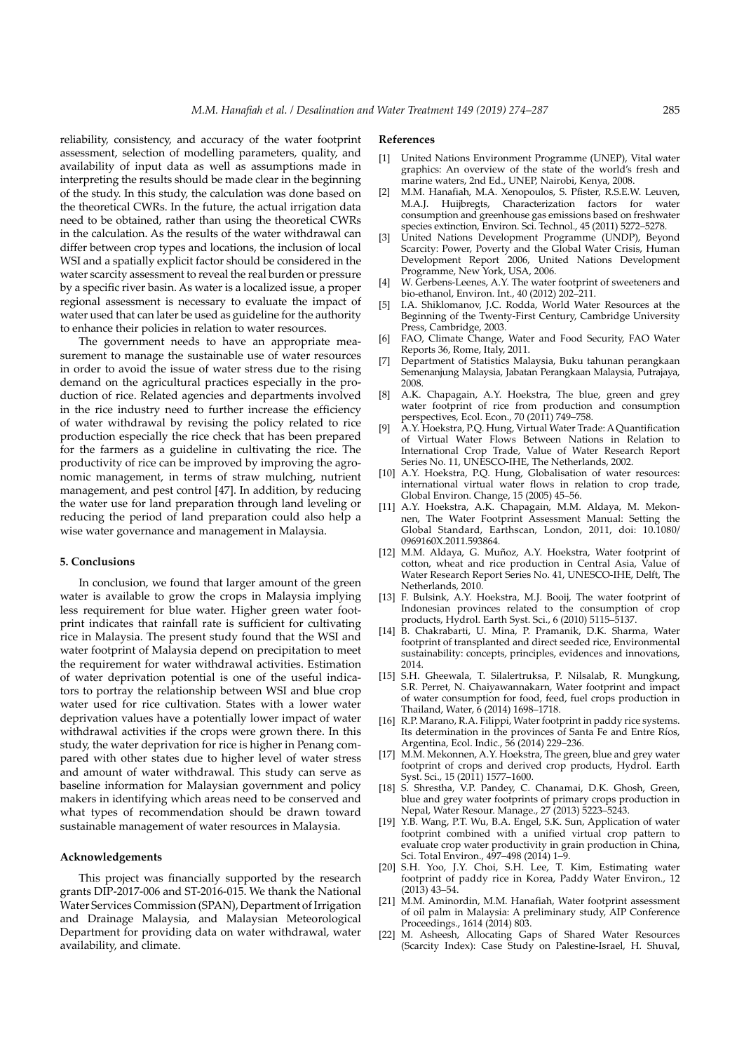reliability, consistency, and accuracy of the water footprint assessment, selection of modelling parameters, quality, and availability of input data as well as assumptions made in interpreting the results should be made clear in the beginning of the study. In this study, the calculation was done based on the theoretical CWRs. In the future, the actual irrigation data need to be obtained, rather than using the theoretical CWRs in the calculation. As the results of the water withdrawal can differ between crop types and locations, the inclusion of local WSI and a spatially explicit factor should be considered in the water scarcity assessment to reveal the real burden or pressure by a specific river basin. As water is a localized issue, a proper regional assessment is necessary to evaluate the impact of water used that can later be used as guideline for the authority to enhance their policies in relation to water resources.

The government needs to have an appropriate measurement to manage the sustainable use of water resources in order to avoid the issue of water stress due to the rising demand on the agricultural practices especially in the production of rice. Related agencies and departments involved in the rice industry need to further increase the efficiency of water withdrawal by revising the policy related to rice production especially the rice check that has been prepared for the farmers as a guideline in cultivating the rice. The productivity of rice can be improved by improving the agronomic management, in terms of straw mulching, nutrient management, and pest control [47]. In addition, by reducing the water use for land preparation through land leveling or reducing the period of land preparation could also help a wise water governance and management in Malaysia.

#### **5. Conclusions**

In conclusion, we found that larger amount of the green water is available to grow the crops in Malaysia implying less requirement for blue water. Higher green water footprint indicates that rainfall rate is sufficient for cultivating rice in Malaysia. The present study found that the WSI and water footprint of Malaysia depend on precipitation to meet the requirement for water withdrawal activities. Estimation of water deprivation potential is one of the useful indicators to portray the relationship between WSI and blue crop water used for rice cultivation. States with a lower water deprivation values have a potentially lower impact of water withdrawal activities if the crops were grown there. In this study, the water deprivation for rice is higher in Penang compared with other states due to higher level of water stress and amount of water withdrawal. This study can serve as baseline information for Malaysian government and policy makers in identifying which areas need to be conserved and what types of recommendation should be drawn toward sustainable management of water resources in Malaysia.

#### **Acknowledgements**

This project was financially supported by the research grants DIP-2017-006 and ST-2016-015. We thank the National Water Services Commission (SPAN), Department of Irrigation and Drainage Malaysia, and Malaysian Meteorological Department for providing data on water withdrawal, water availability, and climate.

## **References**

- [1] United Nations Environment Programme (UNEP), Vital water graphics: An overview of the state of the world's fresh and marine waters, 2nd Ed., UNEP, Nairobi, Kenya, 2008.
- M.M. Hanafiah, M.A. Xenopoulos, S. Pfister, R.S.E.W. Leuven, M.A.J. Huijbregts, Characterization factors for water consumption and greenhouse gas emissions based on freshwater species extinction, Environ. Sci. Technol., 45 (2011) 5272–5278.
- United Nations Development Programme (UNDP), Beyond Scarcity: Power, Poverty and the Global Water Crisis, Human Development Report 2006, United Nations Development Programme, New York, USA, 2006.
- W. Gerbens-Leenes, A.Y. The water footprint of sweeteners and bio-ethanol, Environ. Int., 40 (2012) 202–211.
- I.A. Shiklomanov, J.C. Rodda, World Water Resources at the Beginning of the Twenty-First Century, Cambridge University Press, Cambridge, 2003.
- FAO, Climate Change, Water and Food Security, FAO Water Reports 36, Rome, Italy, 2011.
- Department of Statistics Malaysia, Buku tahunan perangkaan Semenanjung Malaysia, Jabatan Perangkaan Malaysia, Putrajaya, 2008.
- [8] A.K. Chapagain, A.Y. Hoekstra, The blue, green and grey water footprint of rice from production and consumption perspectives, Ecol. Econ., 70 (2011) 749–758.
- [9] A.Y. Hoekstra, P.Q. Hung, Virtual Water Trade: A Quantification of Virtual Water Flows Between Nations in Relation to International Crop Trade, Value of Water Research Report Series No. 11, UNESCO-IHE, The Netherlands, 2002.
- [10] A.Y. Hoekstra, P.Q. Hung, Globalisation of water resources: international virtual water flows in relation to crop trade, Global Environ. Change, 15 (2005) 45–56.
- [11] A.Y. Hoekstra, A.K. Chapagain, M.M. Aldaya, M. Mekonnen, The Water Footprint Assessment Manual: Setting the Global Standard, Earthscan, London, 2011, doi: 10.1080/ 0969160X.2011.593864.
- [12] M.M. Aldaya, G. Muñoz, A.Y. Hoekstra, Water footprint of cotton, wheat and rice production in Central Asia, Value of Water Research Report Series No. 41, UNESCO-IHE, Delft, The Netherlands, 2010.
- [13] F. Bulsink, A.Y. Hoekstra, M.J. Booij, The water footprint of Indonesian provinces related to the consumption of crop products, Hydrol. Earth Syst. Sci., 6 (2010) 5115–5137.
- [14] B. Chakrabarti, U. Mina, P. Pramanik, D.K. Sharma, Water footprint of transplanted and direct seeded rice, Environmental sustainability: concepts, principles, evidences and innovations, 2014.
- [15] S.H. Gheewala, T. Silalertruksa, P. Nilsalab, R. Mungkung, S.R. Perret, N. Chaiyawannakarn, Water footprint and impact of water consumption for food, feed, fuel crops production in Thailand, Water, 6 (2014) 1698–1718.
- [16] R.P. Marano, R.A. Filippi, Water footprint in paddy rice systems. Its determination in the provinces of Santa Fe and Entre Ríos, Argentina, Ecol. Indic., 56 (2014) 229–236.
- [17] M.M. Mekonnen, A.Y. Hoekstra, The green, blue and grey water footprint of crops and derived crop products, Hydrol. Earth Syst. Sci., 15 (2011) 1577–1600.
- [18] S. Shrestha, V.P. Pandey, C. Chanamai, D.K. Ghosh, Green, blue and grey water footprints of primary crops production in Nepal, Water Resour. Manage., 27 (2013) 5223–5243.
- [19] Y.B. Wang, P.T. Wu, B.A. Engel, S.K. Sun, Application of water footprint combined with a unified virtual crop pattern to evaluate crop water productivity in grain production in China, Sci. Total Environ., 497–498 (2014) 1–9.
- [20] S.H. Yoo, J.Y. Choi, S.H. Lee, T. Kim, Estimating water footprint of paddy rice in Korea, Paddy Water Environ., 12 (2013) 43–54.
- [21] M.M. Aminordin, M.M. Hanafiah, Water footprint assessment of oil palm in Malaysia: A preliminary study, AIP Conference Proceedings., 1614 (2014) 803.
- [22] M. Asheesh, Allocating Gaps of Shared Water Resources (Scarcity Index): Case Study on Palestine-Israel, H. Shuval,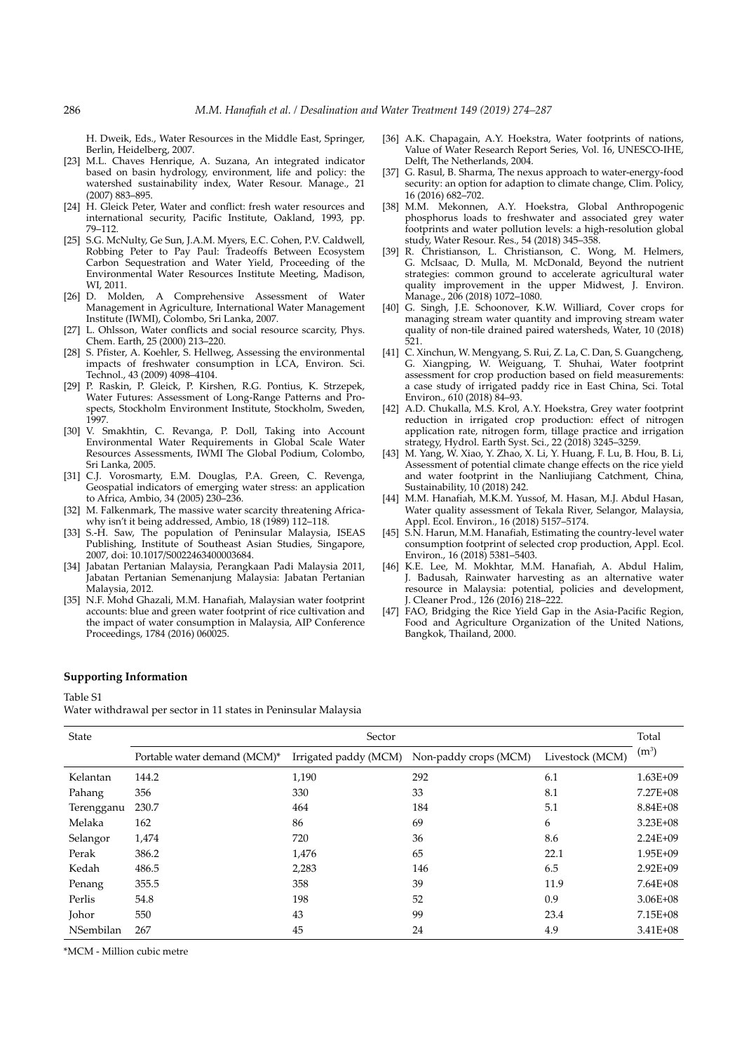H. Dweik, Eds., Water Resources in the Middle East, Springer, Berlin, Heidelberg, 2007.

- [23] M.L. Chaves Henrique, A. Suzana, An integrated indicator based on basin hydrology, environment, life and policy: the watershed sustainability index, Water Resour. Manage., 21 (2007) 883–895.
- [24] H. Gleick Peter, Water and conflict: fresh water resources and international security, Pacific Institute, Oakland, 1993, pp. 79–112.
- [25] S.G. McNulty, Ge Sun, J.A.M. Myers, E.C. Cohen, P.V. Caldwell, Robbing Peter to Pay Paul: Tradeoffs Between Ecosystem Carbon Sequestration and Water Yield, Proceeding of the Environmental Water Resources Institute Meeting, Madison, WI, 2011.
- [26] D. Molden, A Comprehensive Assessment of Water Management in Agriculture, International Water Management Institute (IWMI), Colombo, Sri Lanka, 2007.
- [27] L. Ohlsson, Water conflicts and social resource scarcity, Phys. Chem. Earth, 25 (2000) 213–220.
- [28] S. Pfister, A. Koehler, S. Hellweg, Assessing the environmental impacts of freshwater consumption in LCA, Environ. Sci. Technol., 43 (2009) 4098–4104.
- [29] P. Raskin, P. Gleick, P. Kirshen, R.G. Pontius, K. Strzepek, Water Futures: Assessment of Long-Range Patterns and Prospects, Stockholm Environment Institute, Stockholm, Sweden, 1997.
- [30] V. Smakhtin, C. Revanga, P. Doll, Taking into Account Environmental Water Requirements in Global Scale Water Resources Assessments, IWMI The Global Podium, Colombo, Sri Lanka, 2005.
- [31] C.J. Vorosmarty, E.M. Douglas, P.A. Green, C. Revenga, Geospatial indicators of emerging water stress: an application to Africa, Ambio, 34 (2005) 230–236.
- [32] M. Falkenmark, The massive water scarcity threatening Africawhy isn't it being addressed, Ambio, 18 (1989) 112–118.
- [33] S.-H. Saw, The population of Peninsular Malaysia, ISEAS Publishing, Institute of Southeast Asian Studies, Singapore, 2007, doi: 10.1017/S0022463400003684.
- [34] Jabatan Pertanian Malaysia, Perangkaan Padi Malaysia 2011, Jabatan Pertanian Semenanjung Malaysia: Jabatan Pertanian Malaysia, 2012.
- [35] N.F. Mohd Ghazali, M.M. Hanafiah, Malaysian water footprint accounts: blue and green water footprint of rice cultivation and the impact of water consumption in Malaysia, AIP Conference Proceedings, 1784 (2016) 060025.
- [36] A.K. Chapagain, A.Y. Hoekstra, Water footprints of nations, Value of Water Research Report Series, Vol. 16, UNESCO-IHE, Delft, The Netherlands, 2004.
- [37] G. Rasul, B. Sharma, The nexus approach to water-energy-food security: an option for adaption to climate change, Clim. Policy, 16 (2016) 682–702.
- [38] M.M. Mekonnen, A.Y. Hoekstra, Global Anthropogenic phosphorus loads to freshwater and associated grey water footprints and water pollution levels: a high-resolution global study, Water Resour. Res., 54 (2018) 345–358.
- [39] R. Christianson, L. Christianson, C. Wong, M. Helmers, G. McIsaac, D. Mulla, M. McDonald, Beyond the nutrient strategies: common ground to accelerate agricultural water quality improvement in the upper Midwest, J. Environ. Manage., 206 (2018) 1072–1080.
- [40] G. Singh, J.E. Schoonover, K.W. Williard, Cover crops for managing stream water quantity and improving stream water quality of non-tile drained paired watersheds, Water, 10 (2018) 521.
- [41] C. Xinchun, W. Mengyang, S. Rui, Z. La, C. Dan, S. Guangcheng, G. Xiangping, W. Weiguang, T. Shuhai, Water footprint assessment for crop production based on field measurements: a case study of irrigated paddy rice in East China, Sci. Total Environ., 610 (2018) 84–93.
- [42] A.D. Chukalla, M.S. Krol, A.Y. Hoekstra, Grey water footprint reduction in irrigated crop production: effect of nitrogen application rate, nitrogen form, tillage practice and irrigation strategy, Hydrol. Earth Syst. Sci., 22 (2018) 3245–3259.
- [43] M. Yang, W. Xiao, Y. Zhao, X. Li, Y. Huang, F. Lu, B. Hou, B. Li, Assessment of potential climate change effects on the rice yield and water footprint in the Nanliujiang Catchment, China, Sustainability,  $10(2018)$  242.
- [44] M.M. Hanafiah, M.K.M. Yussof, M. Hasan, M.J. Abdul Hasan, Water quality assessment of Tekala River, Selangor, Malaysia, Appl. Ecol. Environ., 16 (2018) 5157–5174.
- [45] S.N. Harun, M.M. Hanafiah, Estimating the country-level water consumption footprint of selected crop production, Appl. Ecol. Environ., 16 (2018) 5381–5403.
- [46] K.E. Lee, M. Mokhtar, M.M. Hanafiah, A. Abdul Halim, J. Badusah, Rainwater harvesting as an alternative water resource in Malaysia: potential, policies and development, J. Cleaner Prod., 126 (2016) 218–222.
- [47] FAO, Bridging the Rice Yield Gap in the Asia-Pacific Region, Food and Agriculture Organization of the United Nations, Bangkok, Thailand, 2000.

# **Supporting Information**

Table S1

Water withdrawal per sector in 11 states in Peninsular Malaysia

| State      | Sector                       |                       |                       |                 |              |  |
|------------|------------------------------|-----------------------|-----------------------|-----------------|--------------|--|
|            | Portable water demand (MCM)* | Irrigated paddy (MCM) | Non-paddy crops (MCM) | Livestock (MCM) | $(m^3)$      |  |
| Kelantan   | 144.2                        | 1,190                 | 292                   | 6.1             | 1.63E+09     |  |
| Pahang     | 356                          | 330                   | 33                    | 8.1             | 7.27E+08     |  |
| Terengganu | 230.7                        | 464                   | 184                   | 5.1             | 8.84E+08     |  |
| Melaka     | 162                          | 86                    | 69                    | 6               | 3.23E+08     |  |
| Selangor   | 1,474                        | 720                   | 36                    | 8.6             | $2.24E + 09$ |  |
| Perak      | 386.2                        | 1,476                 | 65                    | 22.1            | 1.95E+09     |  |
| Kedah      | 486.5                        | 2,283                 | 146                   | 6.5             | $2.92E + 09$ |  |
| Penang     | 355.5                        | 358                   | 39                    | 11.9            | $7.64E + 08$ |  |
| Perlis     | 54.8                         | 198                   | 52                    | 0.9             | 3.06E+08     |  |
| Johor      | 550                          | 43                    | 99                    | 23.4            | 7.15E+08     |  |
| NSembilan  | 267                          | 45                    | 24                    | 4.9             | 3.41E+08     |  |

\*MCM - Million cubic metre